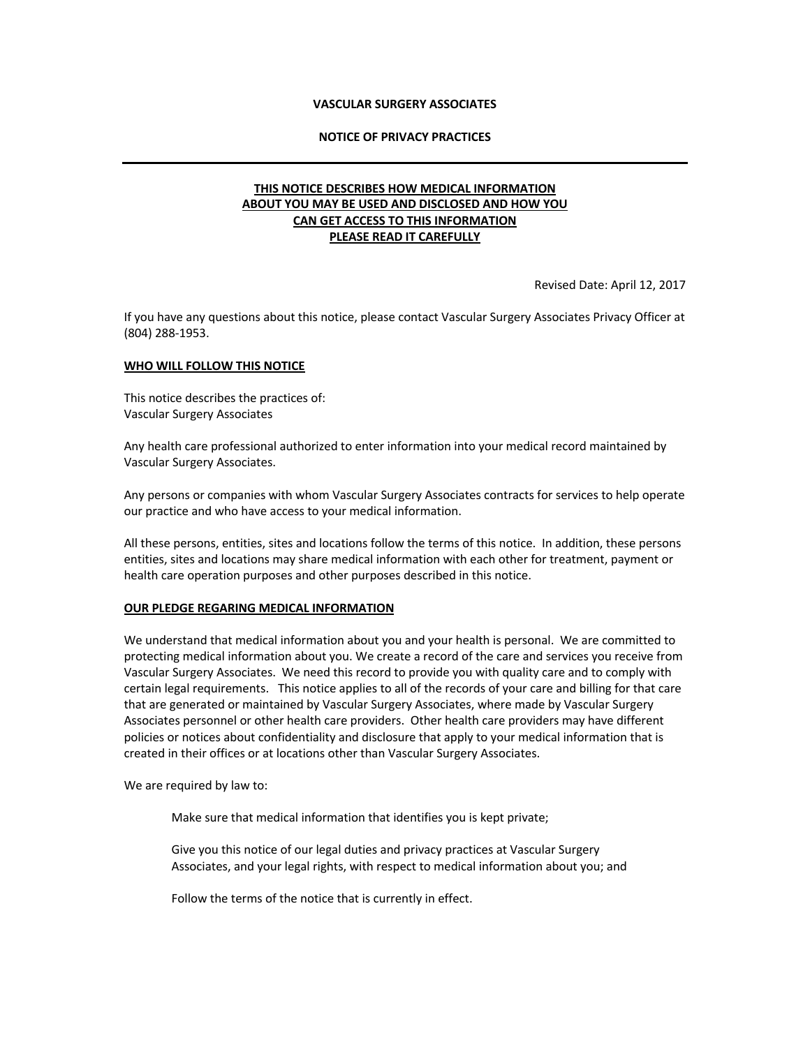## **VASCULAR SURGERY ASSOCIATES**

#### **NOTICE OF PRIVACY PRACTICES**

# **THIS NOTICE DESCRIBES HOW MEDICAL INFORMATION ABOUT YOU MAY BE USED AND DISCLOSED AND HOW YOU CAN GET ACCESS TO THIS INFORMATION PLEASE READ IT CAREFULLY**

Revised Date: April 12, 2017

If you have any questions about this notice, please contact Vascular Surgery Associates Privacy Officer at (804) 288-1953.

#### **WHO WILL FOLLOW THIS NOTICE**

This notice describes the practices of: Vascular Surgery Associates

Any health care professional authorized to enter information into your medical record maintained by Vascular Surgery Associates.

Any persons or companies with whom Vascular Surgery Associates contracts for services to help operate our practice and who have access to your medical information.

All these persons, entities, sites and locations follow the terms of this notice. In addition, these persons entities, sites and locations may share medical information with each other for treatment, payment or health care operation purposes and other purposes described in this notice.

#### **OUR PLEDGE REGARING MEDICAL INFORMATION**

We understand that medical information about you and your health is personal. We are committed to protecting medical information about you. We create a record of the care and services you receive from Vascular Surgery Associates. We need this record to provide you with quality care and to comply with certain legal requirements. This notice applies to all of the records of your care and billing for that care that are generated or maintained by Vascular Surgery Associates, where made by Vascular Surgery Associates personnel or other health care providers. Other health care providers may have different policies or notices about confidentiality and disclosure that apply to your medical information that is created in their offices or at locations other than Vascular Surgery Associates.

We are required by law to:

Make sure that medical information that identifies you is kept private;

Give you this notice of our legal duties and privacy practices at Vascular Surgery Associates, and your legal rights, with respect to medical information about you; and

Follow the terms of the notice that is currently in effect.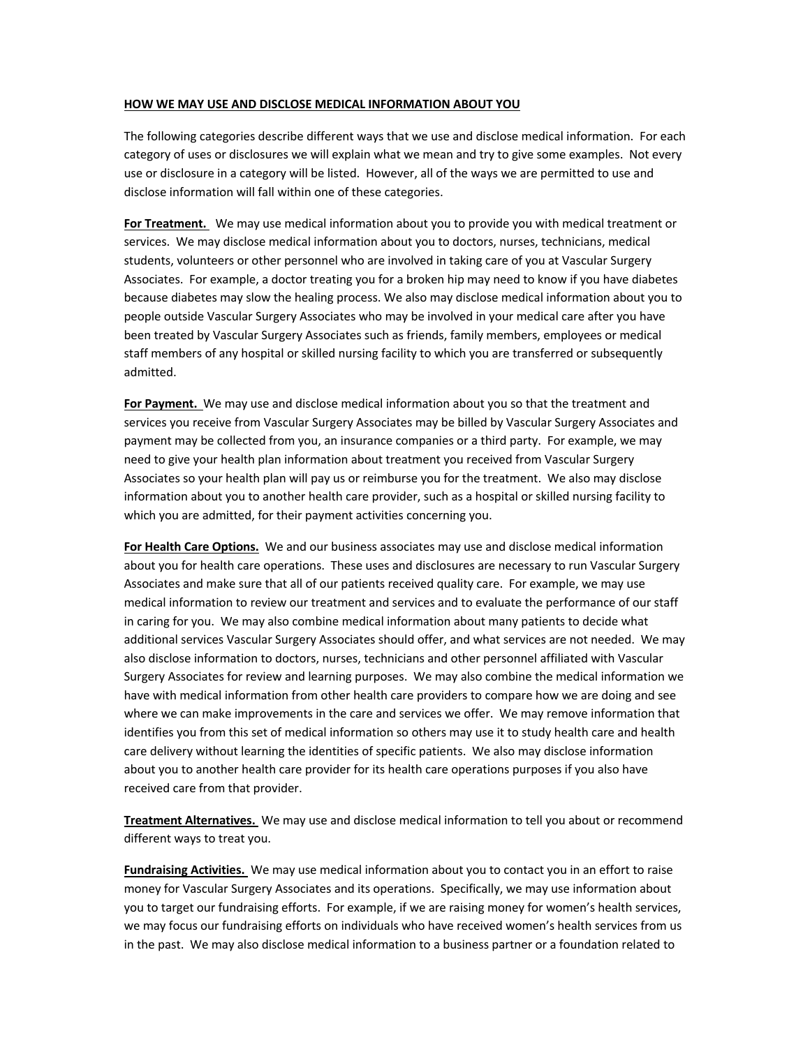## **HOW WE MAY USE AND DISCLOSE MEDICAL INFORMATION ABOUT YOU**

The following categories describe different ways that we use and disclose medical information. For each category of uses or disclosures we will explain what we mean and try to give some examples. Not every use or disclosure in a category will be listed. However, all of the ways we are permitted to use and disclose information will fall within one of these categories.

**For Treatment.** We may use medical information about you to provide you with medical treatment or services. We may disclose medical information about you to doctors, nurses, technicians, medical students, volunteers or other personnel who are involved in taking care of you at Vascular Surgery Associates. For example, a doctor treating you for a broken hip may need to know if you have diabetes because diabetes may slow the healing process. We also may disclose medical information about you to people outside Vascular Surgery Associates who may be involved in your medical care after you have been treated by Vascular Surgery Associates such as friends, family members, employees or medical staff members of any hospital or skilled nursing facility to which you are transferred or subsequently admitted.

**For Payment.** We may use and disclose medical information about you so that the treatment and services you receive from Vascular Surgery Associates may be billed by Vascular Surgery Associates and payment may be collected from you, an insurance companies or a third party. For example, we may need to give your health plan information about treatment you received from Vascular Surgery Associates so your health plan will pay us or reimburse you for the treatment. We also may disclose information about you to another health care provider, such as a hospital or skilled nursing facility to which you are admitted, for their payment activities concerning you.

**For Health Care Options.** We and our business associates may use and disclose medical information about you for health care operations. These uses and disclosures are necessary to run Vascular Surgery Associates and make sure that all of our patients received quality care. For example, we may use medical information to review our treatment and services and to evaluate the performance of our staff in caring for you. We may also combine medical information about many patients to decide what additional services Vascular Surgery Associates should offer, and what services are not needed. We may also disclose information to doctors, nurses, technicians and other personnel affiliated with Vascular Surgery Associates for review and learning purposes. We may also combine the medical information we have with medical information from other health care providers to compare how we are doing and see where we can make improvements in the care and services we offer. We may remove information that identifies you from this set of medical information so others may use it to study health care and health care delivery without learning the identities of specific patients. We also may disclose information about you to another health care provider for its health care operations purposes if you also have received care from that provider.

**Treatment Alternatives.** We may use and disclose medical information to tell you about or recommend different ways to treat you.

**Fundraising Activities.** We may use medical information about you to contact you in an effort to raise money for Vascular Surgery Associates and its operations. Specifically, we may use information about you to target our fundraising efforts. For example, if we are raising money for women's health services, we may focus our fundraising efforts on individuals who have received women's health services from us in the past. We may also disclose medical information to a business partner or a foundation related to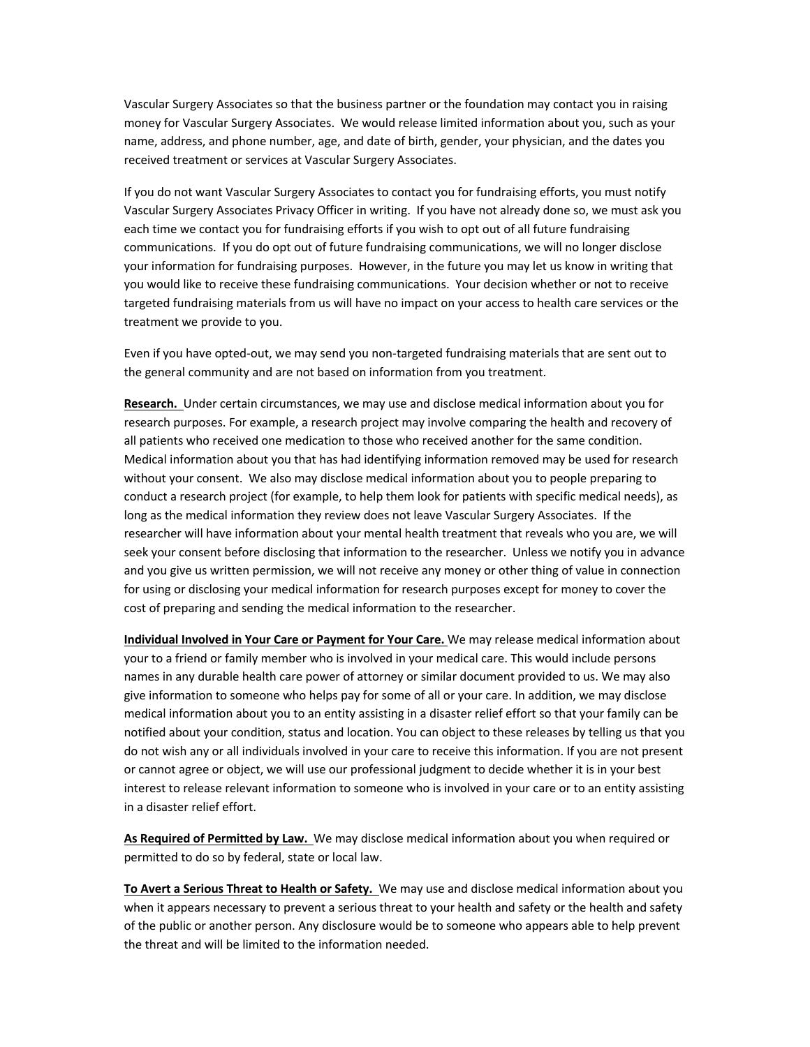Vascular Surgery Associates so that the business partner or the foundation may contact you in raising money for Vascular Surgery Associates. We would release limited information about you, such as your name, address, and phone number, age, and date of birth, gender, your physician, and the dates you received treatment or services at Vascular Surgery Associates.

If you do not want Vascular Surgery Associates to contact you for fundraising efforts, you must notify Vascular Surgery Associates Privacy Officer in writing. If you have not already done so, we must ask you each time we contact you for fundraising efforts if you wish to opt out of all future fundraising communications. If you do opt out of future fundraising communications, we will no longer disclose your information for fundraising purposes. However, in the future you may let us know in writing that you would like to receive these fundraising communications. Your decision whether or not to receive targeted fundraising materials from us will have no impact on your access to health care services or the treatment we provide to you.

Even if you have opted-out, we may send you non-targeted fundraising materials that are sent out to the general community and are not based on information from you treatment.

**Research.** Under certain circumstances, we may use and disclose medical information about you for research purposes. For example, a research project may involve comparing the health and recovery of all patients who received one medication to those who received another for the same condition. Medical information about you that has had identifying information removed may be used for research without your consent. We also may disclose medical information about you to people preparing to conduct a research project (for example, to help them look for patients with specific medical needs), as long as the medical information they review does not leave Vascular Surgery Associates. If the researcher will have information about your mental health treatment that reveals who you are, we will seek your consent before disclosing that information to the researcher. Unless we notify you in advance and you give us written permission, we will not receive any money or other thing of value in connection for using or disclosing your medical information for research purposes except for money to cover the cost of preparing and sending the medical information to the researcher.

**Individual Involved in Your Care or Payment for Your Care.** We may release medical information about your to a friend or family member who is involved in your medical care. This would include persons names in any durable health care power of attorney or similar document provided to us. We may also give information to someone who helps pay for some of all or your care. In addition, we may disclose medical information about you to an entity assisting in a disaster relief effort so that your family can be notified about your condition, status and location. You can object to these releases by telling us that you do not wish any or all individuals involved in your care to receive this information. If you are not present or cannot agree or object, we will use our professional judgment to decide whether it is in your best interest to release relevant information to someone who is involved in your care or to an entity assisting in a disaster relief effort.

**As Required of Permitted by Law.** We may disclose medical information about you when required or permitted to do so by federal, state or local law.

**To Avert a Serious Threat to Health or Safety.** We may use and disclose medical information about you when it appears necessary to prevent a serious threat to your health and safety or the health and safety of the public or another person. Any disclosure would be to someone who appears able to help prevent the threat and will be limited to the information needed.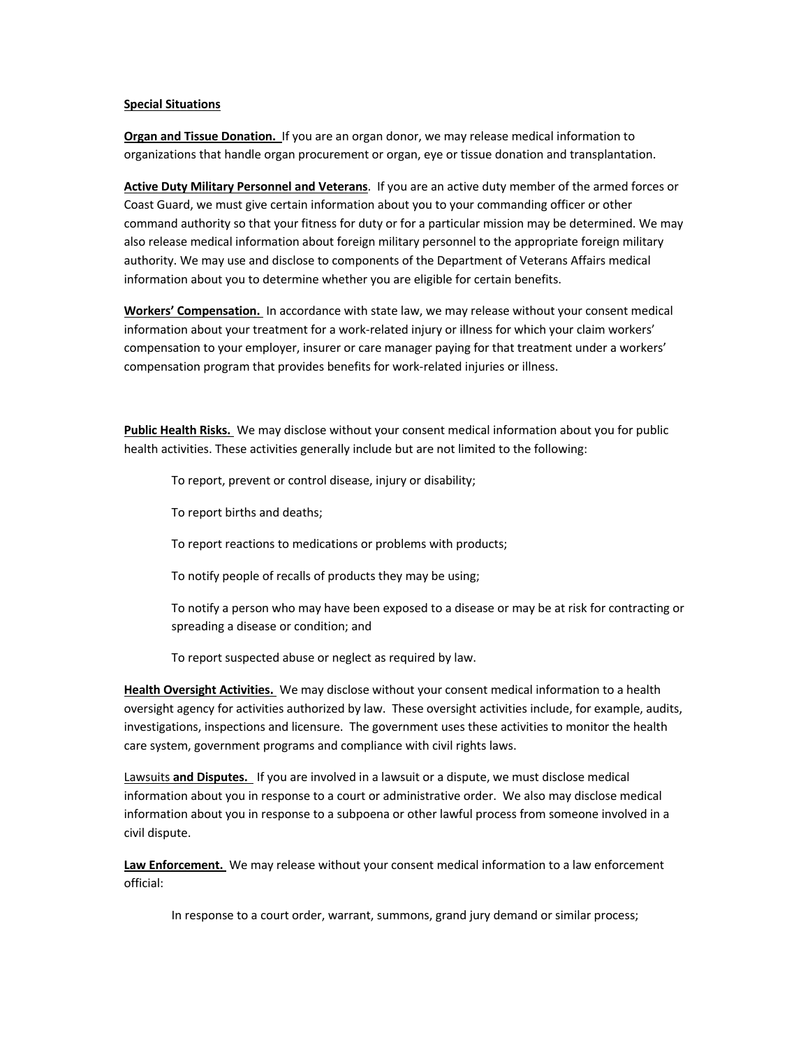## **Special Situations**

**Organ and Tissue Donation.** If you are an organ donor, we may release medical information to organizations that handle organ procurement or organ, eye or tissue donation and transplantation.

**Active Duty Military Personnel and Veterans**. If you are an active duty member of the armed forces or Coast Guard, we must give certain information about you to your commanding officer or other command authority so that your fitness for duty or for a particular mission may be determined. We may also release medical information about foreign military personnel to the appropriate foreign military authority. We may use and disclose to components of the Department of Veterans Affairs medical information about you to determine whether you are eligible for certain benefits.

**Workers' Compensation.** In accordance with state law, we may release without your consent medical information about your treatment for a work-related injury or illness for which your claim workers' compensation to your employer, insurer or care manager paying for that treatment under a workers' compensation program that provides benefits for work-related injuries or illness.

**Public Health Risks.** We may disclose without your consent medical information about you for public health activities. These activities generally include but are not limited to the following:

To report, prevent or control disease, injury or disability;

To report births and deaths;

To report reactions to medications or problems with products;

To notify people of recalls of products they may be using;

To notify a person who may have been exposed to a disease or may be at risk for contracting or spreading a disease or condition; and

To report suspected abuse or neglect as required by law.

**Health Oversight Activities.** We may disclose without your consent medical information to a health oversight agency for activities authorized by law. These oversight activities include, for example, audits, investigations, inspections and licensure. The government uses these activities to monitor the health care system, government programs and compliance with civil rights laws.

Lawsuits **and Disputes.** If you are involved in a lawsuit or a dispute, we must disclose medical information about you in response to a court or administrative order. We also may disclose medical information about you in response to a subpoena or other lawful process from someone involved in a civil dispute.

**Law Enforcement.** We may release without your consent medical information to a law enforcement official:

In response to a court order, warrant, summons, grand jury demand or similar process;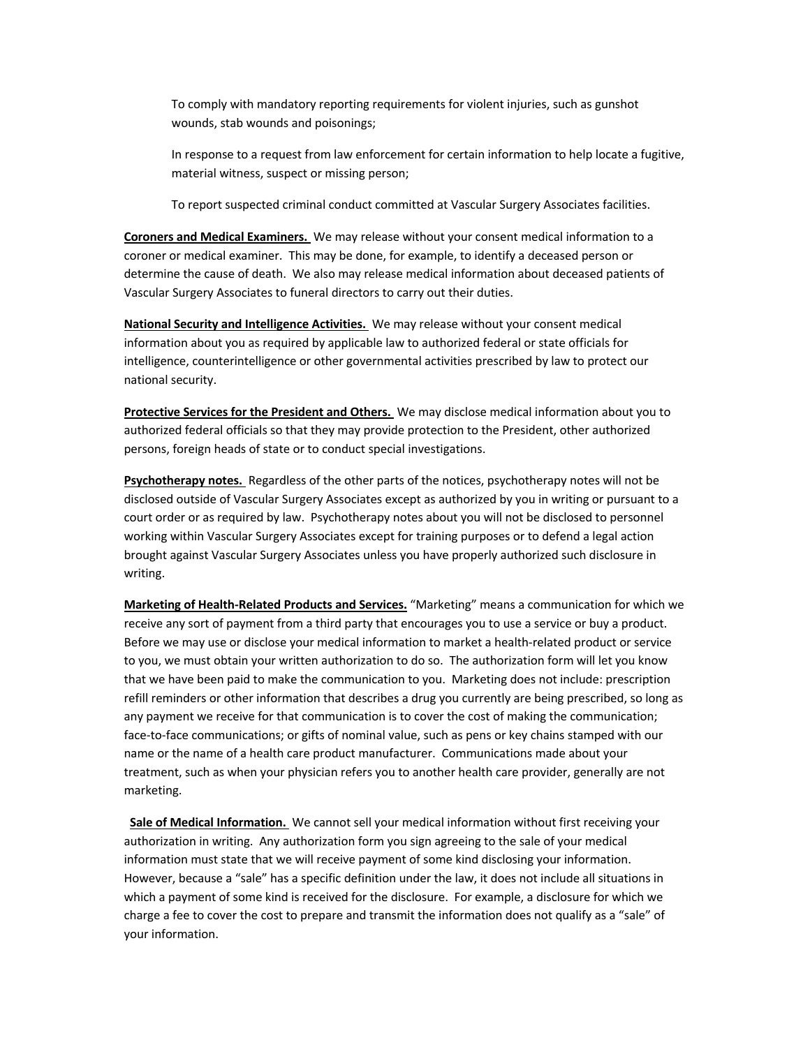To comply with mandatory reporting requirements for violent injuries, such as gunshot wounds, stab wounds and poisonings;

In response to a request from law enforcement for certain information to help locate a fugitive, material witness, suspect or missing person;

To report suspected criminal conduct committed at Vascular Surgery Associates facilities.

**Coroners and Medical Examiners.** We may release without your consent medical information to a coroner or medical examiner. This may be done, for example, to identify a deceased person or determine the cause of death. We also may release medical information about deceased patients of Vascular Surgery Associates to funeral directors to carry out their duties.

**National Security and Intelligence Activities.** We may release without your consent medical information about you as required by applicable law to authorized federal or state officials for intelligence, counterintelligence or other governmental activities prescribed by law to protect our national security.

**Protective Services for the President and Others.** We may disclose medical information about you to authorized federal officials so that they may provide protection to the President, other authorized persons, foreign heads of state or to conduct special investigations.

**Psychotherapy notes.** Regardless of the other parts of the notices, psychotherapy notes will not be disclosed outside of Vascular Surgery Associates except as authorized by you in writing or pursuant to a court order or as required by law. Psychotherapy notes about you will not be disclosed to personnel working within Vascular Surgery Associates except for training purposes or to defend a legal action brought against Vascular Surgery Associates unless you have properly authorized such disclosure in writing.

**Marketing of Health-Related Products and Services.** "Marketing" means a communication for which we receive any sort of payment from a third party that encourages you to use a service or buy a product. Before we may use or disclose your medical information to market a health-related product or service to you, we must obtain your written authorization to do so. The authorization form will let you know that we have been paid to make the communication to you. Marketing does not include: prescription refill reminders or other information that describes a drug you currently are being prescribed, so long as any payment we receive for that communication is to cover the cost of making the communication; face-to-face communications; or gifts of nominal value, such as pens or key chains stamped with our name or the name of a health care product manufacturer. Communications made about your treatment, such as when your physician refers you to another health care provider, generally are not marketing.

 **Sale of Medical Information.** We cannot sell your medical information without first receiving your authorization in writing. Any authorization form you sign agreeing to the sale of your medical information must state that we will receive payment of some kind disclosing your information. However, because a "sale" has a specific definition under the law, it does not include all situations in which a payment of some kind is received for the disclosure. For example, a disclosure for which we charge a fee to cover the cost to prepare and transmit the information does not qualify as a "sale" of your information.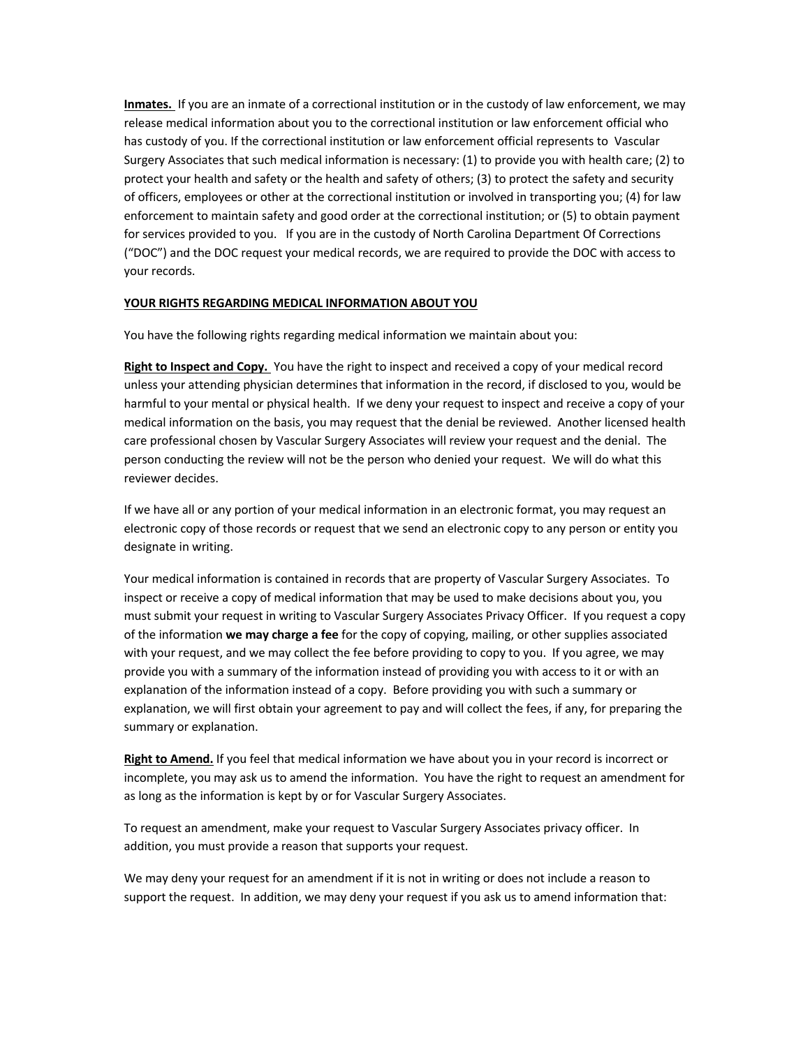**Inmates.** If you are an inmate of a correctional institution or in the custody of law enforcement, we may release medical information about you to the correctional institution or law enforcement official who has custody of you. If the correctional institution or law enforcement official represents to Vascular Surgery Associates that such medical information is necessary: (1) to provide you with health care; (2) to protect your health and safety or the health and safety of others; (3) to protect the safety and security of officers, employees or other at the correctional institution or involved in transporting you; (4) for law enforcement to maintain safety and good order at the correctional institution; or (5) to obtain payment for services provided to you. If you are in the custody of North Carolina Department Of Corrections ("DOC") and the DOC request your medical records, we are required to provide the DOC with access to your records.

## **YOUR RIGHTS REGARDING MEDICAL INFORMATION ABOUT YOU**

You have the following rights regarding medical information we maintain about you:

**Right to Inspect and Copy.** You have the right to inspect and received a copy of your medical record unless your attending physician determines that information in the record, if disclosed to you, would be harmful to your mental or physical health. If we deny your request to inspect and receive a copy of your medical information on the basis, you may request that the denial be reviewed. Another licensed health care professional chosen by Vascular Surgery Associates will review your request and the denial. The person conducting the review will not be the person who denied your request. We will do what this reviewer decides.

If we have all or any portion of your medical information in an electronic format, you may request an electronic copy of those records or request that we send an electronic copy to any person or entity you designate in writing.

Your medical information is contained in records that are property of Vascular Surgery Associates. To inspect or receive a copy of medical information that may be used to make decisions about you, you must submit your request in writing to Vascular Surgery Associates Privacy Officer. If you request a copy of the information **we may charge a fee** for the copy of copying, mailing, or other supplies associated with your request, and we may collect the fee before providing to copy to you. If you agree, we may provide you with a summary of the information instead of providing you with access to it or with an explanation of the information instead of a copy. Before providing you with such a summary or explanation, we will first obtain your agreement to pay and will collect the fees, if any, for preparing the summary or explanation.

**Right to Amend.** If you feel that medical information we have about you in your record is incorrect or incomplete, you may ask us to amend the information. You have the right to request an amendment for as long as the information is kept by or for Vascular Surgery Associates.

To request an amendment, make your request to Vascular Surgery Associates privacy officer. In addition, you must provide a reason that supports your request.

We may deny your request for an amendment if it is not in writing or does not include a reason to support the request. In addition, we may deny your request if you ask us to amend information that: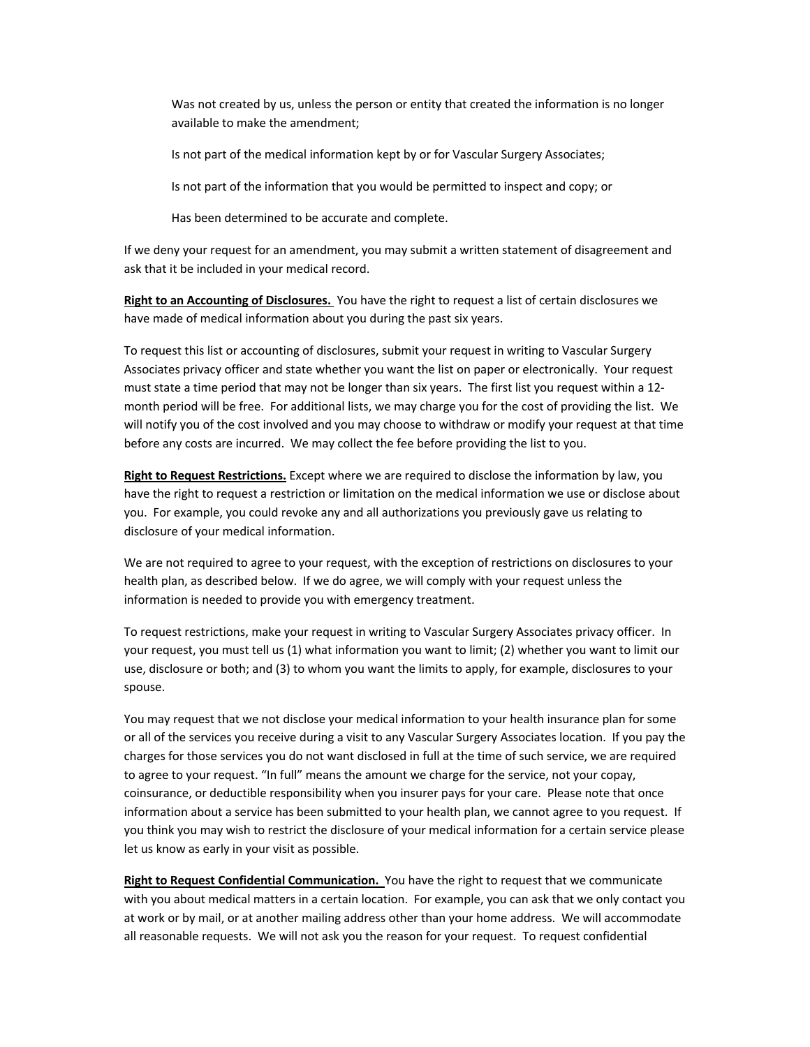Was not created by us, unless the person or entity that created the information is no longer available to make the amendment;

Is not part of the medical information kept by or for Vascular Surgery Associates;

Is not part of the information that you would be permitted to inspect and copy; or

Has been determined to be accurate and complete.

If we deny your request for an amendment, you may submit a written statement of disagreement and ask that it be included in your medical record.

**Right to an Accounting of Disclosures.** You have the right to request a list of certain disclosures we have made of medical information about you during the past six years.

To request this list or accounting of disclosures, submit your request in writing to Vascular Surgery Associates privacy officer and state whether you want the list on paper or electronically. Your request must state a time period that may not be longer than six years. The first list you request within a 12 month period will be free. For additional lists, we may charge you for the cost of providing the list. We will notify you of the cost involved and you may choose to withdraw or modify your request at that time before any costs are incurred. We may collect the fee before providing the list to you.

**Right to Request Restrictions.** Except where we are required to disclose the information by law, you have the right to request a restriction or limitation on the medical information we use or disclose about you. For example, you could revoke any and all authorizations you previously gave us relating to disclosure of your medical information.

We are not required to agree to your request, with the exception of restrictions on disclosures to your health plan, as described below. If we do agree, we will comply with your request unless the information is needed to provide you with emergency treatment.

To request restrictions, make your request in writing to Vascular Surgery Associates privacy officer. In your request, you must tell us (1) what information you want to limit; (2) whether you want to limit our use, disclosure or both; and (3) to whom you want the limits to apply, for example, disclosures to your spouse.

You may request that we not disclose your medical information to your health insurance plan for some or all of the services you receive during a visit to any Vascular Surgery Associates location. If you pay the charges for those services you do not want disclosed in full at the time of such service, we are required to agree to your request. "In full" means the amount we charge for the service, not your copay, coinsurance, or deductible responsibility when you insurer pays for your care. Please note that once information about a service has been submitted to your health plan, we cannot agree to you request. If you think you may wish to restrict the disclosure of your medical information for a certain service please let us know as early in your visit as possible.

**Right to Request Confidential Communication.** You have the right to request that we communicate with you about medical matters in a certain location. For example, you can ask that we only contact you at work or by mail, or at another mailing address other than your home address. We will accommodate all reasonable requests. We will not ask you the reason for your request. To request confidential